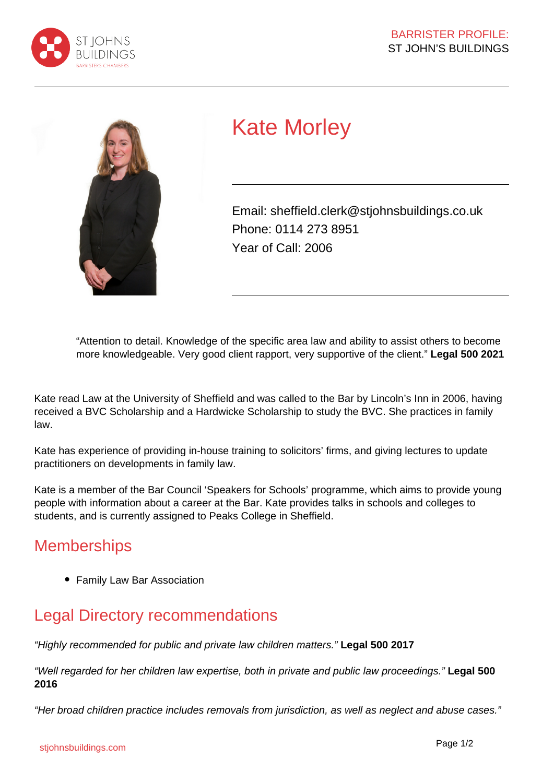



# Kate Morley

Email: sheffield.clerk@stjohnsbuildings.co.uk Phone: 0114 273 8951 Year of Call: 2006

"Attention to detail. Knowledge of the specific area law and ability to assist others to become more knowledgeable. Very good client rapport, very supportive of the client." **Legal 500 2021**

Kate read Law at the University of Sheffield and was called to the Bar by Lincoln's Inn in 2006, having received a BVC Scholarship and a Hardwicke Scholarship to study the BVC. She practices in family law.

Kate has experience of providing in-house training to solicitors' firms, and giving lectures to update practitioners on developments in family law.

Kate is a member of the Bar Council 'Speakers for Schools' programme, which aims to provide young people with information about a career at the Bar. Kate provides talks in schools and colleges to students, and is currently assigned to Peaks College in Sheffield.

## **Memberships**

• Family Law Bar Association

# Legal Directory recommendations

"Highly recommended for public and private law children matters." **Legal 500 2017**

"Well regarded for her children law expertise, both in private and public law proceedings." **Legal 500 2016** 

"Her broad children practice includes removals from jurisdiction, as well as neglect and abuse cases."